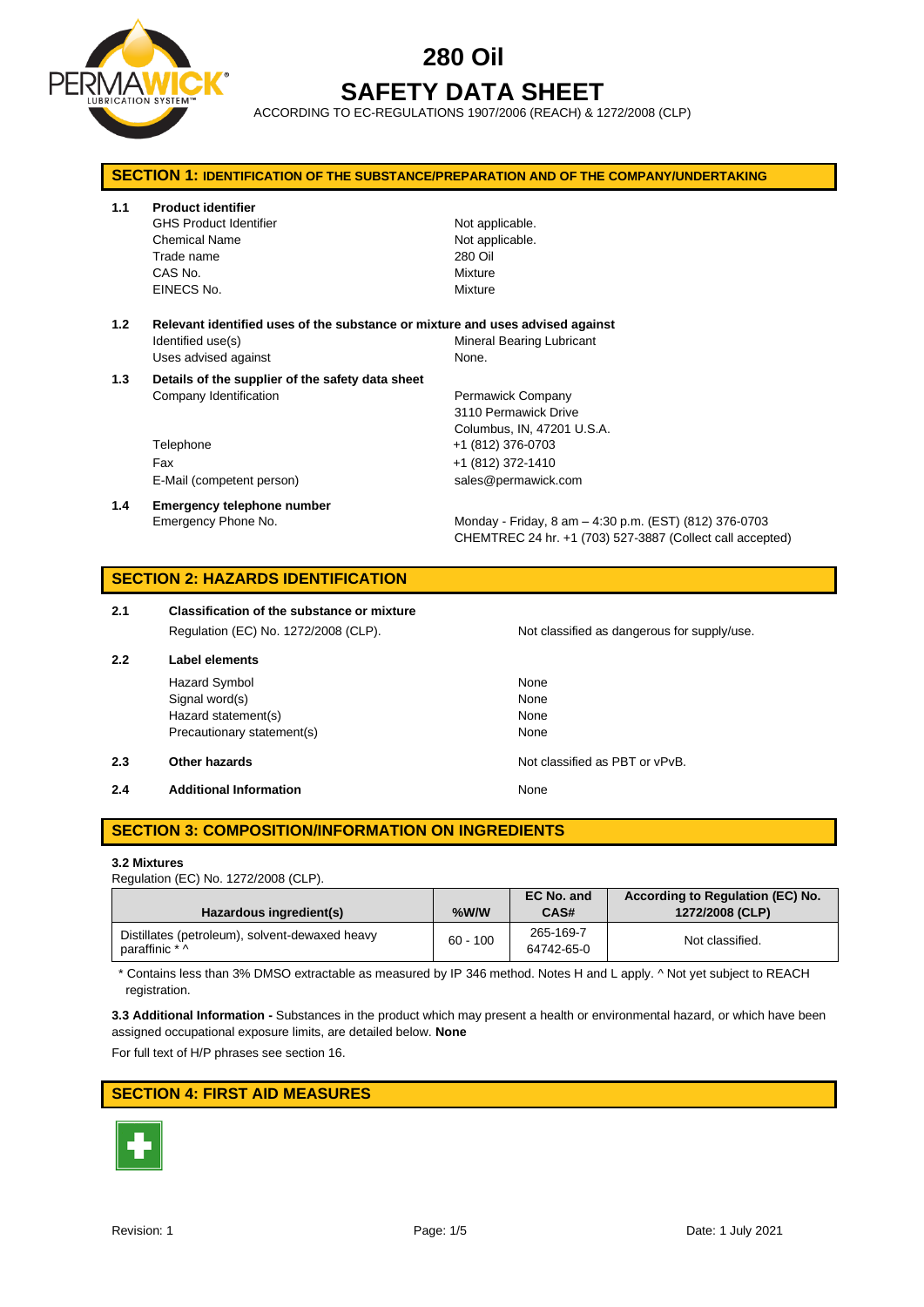

# **280 Oil SAFETY DATA SHEET**

ACCORDING TO EC-REGULATIONS 1907/2006 (REACH) & 1272/2008 (CLP)

| <b>SECTION 1: IDENTIFICATION OF THE SUBSTANCE/PREPARATION AND OF THE COMPANY/UNDERTAKING</b> |                                                                               |                                                                                                                     |  |  |
|----------------------------------------------------------------------------------------------|-------------------------------------------------------------------------------|---------------------------------------------------------------------------------------------------------------------|--|--|
| 1.1                                                                                          | <b>Product identifier</b>                                                     |                                                                                                                     |  |  |
|                                                                                              | <b>GHS Product Identifier</b>                                                 | Not applicable.                                                                                                     |  |  |
|                                                                                              | <b>Chemical Name</b>                                                          | Not applicable.<br>280 Oil                                                                                          |  |  |
|                                                                                              | Trade name<br>CAS No.                                                         | Mixture                                                                                                             |  |  |
|                                                                                              | EINECS No.                                                                    | Mixture                                                                                                             |  |  |
|                                                                                              |                                                                               |                                                                                                                     |  |  |
| 1.2                                                                                          | Relevant identified uses of the substance or mixture and uses advised against |                                                                                                                     |  |  |
|                                                                                              | Identified use(s)                                                             | <b>Mineral Bearing Lubricant</b>                                                                                    |  |  |
|                                                                                              | Uses advised against                                                          | None.                                                                                                               |  |  |
| 1.3                                                                                          | Details of the supplier of the safety data sheet<br>Company Identification    | Permawick Company<br>3110 Permawick Drive<br>Columbus, IN, 47201 U.S.A.                                             |  |  |
|                                                                                              | Telephone                                                                     | +1 (812) 376-0703                                                                                                   |  |  |
|                                                                                              | Fax                                                                           | +1 (812) 372-1410                                                                                                   |  |  |
|                                                                                              | E-Mail (competent person)                                                     | sales@permawick.com                                                                                                 |  |  |
| 1.4                                                                                          | Emergency telephone number                                                    |                                                                                                                     |  |  |
|                                                                                              | Emergency Phone No.                                                           | Monday - Friday, 8 am - 4:30 p.m. (EST) (812) 376-0703<br>CHEMTREC 24 hr. +1 (703) 527-3887 (Collect call accepted) |  |  |
|                                                                                              | <b>SECTION 2: HAZARDS IDENTIFICATION</b>                                      |                                                                                                                     |  |  |
| 2.1                                                                                          | <b>Classification of the substance or mixture</b>                             |                                                                                                                     |  |  |
|                                                                                              | Regulation (EC) No. 1272/2008 (CLP).                                          | Not classified as dangerous for supply/use.                                                                         |  |  |
| 2.2                                                                                          | <b>Label elements</b>                                                         |                                                                                                                     |  |  |
|                                                                                              | <b>Hazard Symbol</b>                                                          | None                                                                                                                |  |  |
|                                                                                              | Signal word(s)                                                                | None                                                                                                                |  |  |
|                                                                                              | Hazard statement(s)                                                           | None                                                                                                                |  |  |
|                                                                                              | Precautionary statement(s)                                                    | None                                                                                                                |  |  |
| 2.3                                                                                          | Other hazards                                                                 | Not classified as PBT or vPvB.                                                                                      |  |  |
| 2.4                                                                                          | <b>Additional Information</b>                                                 | None                                                                                                                |  |  |

#### **SECTION 3: COMPOSITION/INFORMATION ON INGREDIENTS**

#### **3.2 Mixtures**

Regulation (EC) No. 1272/2008 (CLP).

| Hazardous ingredient(s)                                          | $%$ W/W    | EC No. and<br>CAS#      | According to Regulation (EC) No.<br>1272/2008 (CLP) |
|------------------------------------------------------------------|------------|-------------------------|-----------------------------------------------------|
| Distillates (petroleum), solvent-dewaxed heavy<br>paraffinic * ^ | $60 - 100$ | 265-169-7<br>64742-65-0 | Not classified.                                     |

\* Contains less than 3% DMSO extractable as measured by IP 346 method. Notes H and L apply. ^ Not yet subject to REACH registration.

**3.3 Additional Information -** Substances in the product which may present a health or environmental hazard, or which have been assigned occupational exposure limits, are detailed below. **None**

For full text of H/P phrases see section 16.

#### **SECTION 4: FIRST AID MEASURES**

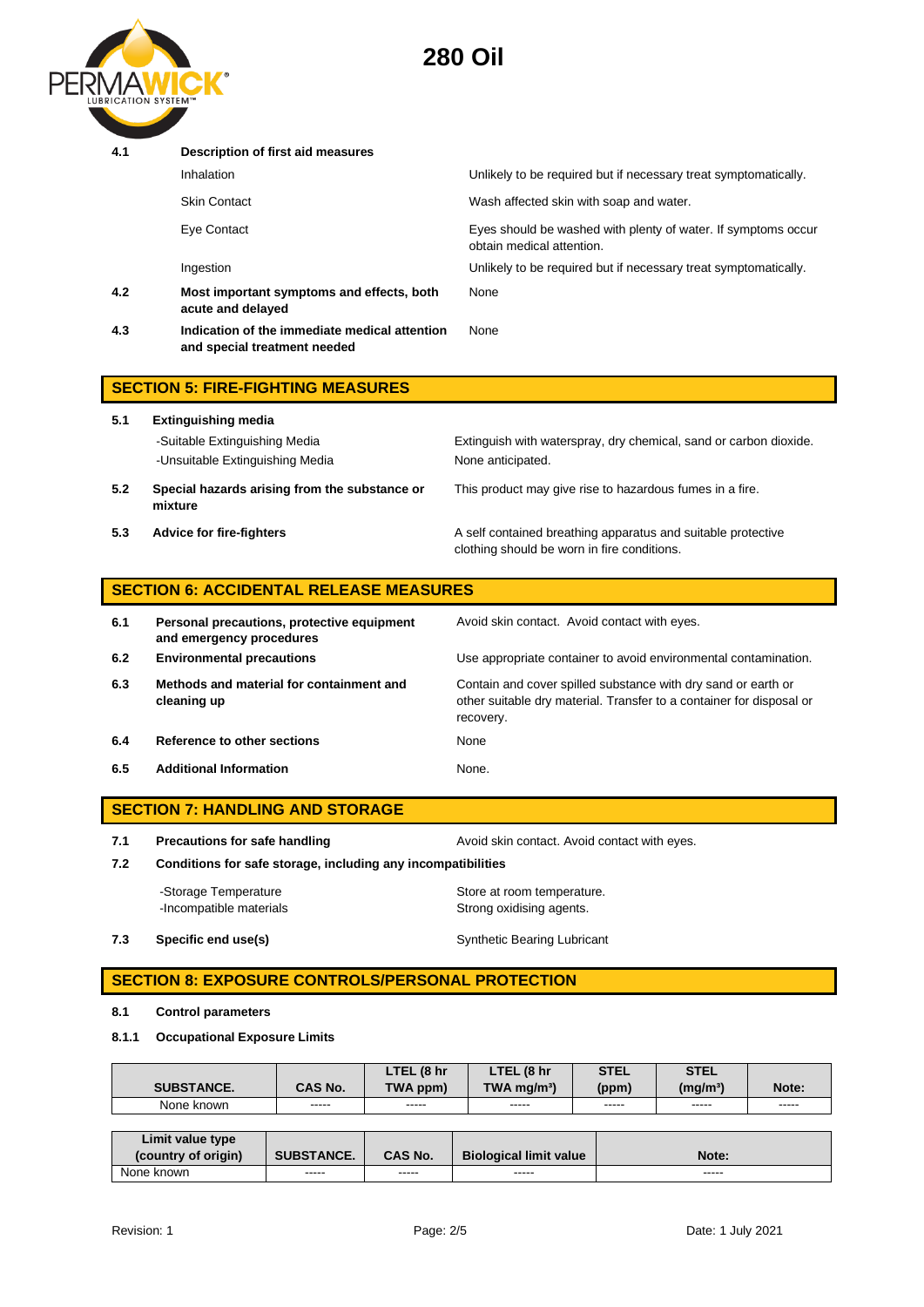

| 4.1 | Description of first aid measures                                             |                                                                                            |
|-----|-------------------------------------------------------------------------------|--------------------------------------------------------------------------------------------|
|     | Inhalation                                                                    | Unlikely to be required but if necessary treat symptomatically.                            |
|     | Skin Contact                                                                  | Wash affected skin with soap and water.                                                    |
|     | Eye Contact                                                                   | Eyes should be washed with plenty of water. If symptoms occur<br>obtain medical attention. |
|     | Ingestion                                                                     | Unlikely to be required but if necessary treat symptomatically.                            |
| 4.2 | Most important symptoms and effects, both<br>acute and delayed                | None                                                                                       |
| 4.3 | Indication of the immediate medical attention<br>and special treatment needed | <b>None</b>                                                                                |
|     | <b>SECTION 5: FIRE-FIGHTING MEASURES</b>                                      |                                                                                            |

| 5.1 | <b>Extinguishing media</b>                                       |                                                                                                             |  |  |
|-----|------------------------------------------------------------------|-------------------------------------------------------------------------------------------------------------|--|--|
|     | -Suitable Extinguishing Media<br>-Unsuitable Extinguishing Media | Extinguish with waterspray, dry chemical, sand or carbon dioxide.<br>None anticipated.                      |  |  |
| 5.2 | Special hazards arising from the substance or<br>mixture         | This product may give rise to hazardous fumes in a fire.                                                    |  |  |
| 5.3 | <b>Advice for fire-fighters</b>                                  | A self contained breathing apparatus and suitable protective<br>clothing should be worn in fire conditions. |  |  |

## **SECTION 6: ACCIDENTAL RELEASE MEASURES**

| 6.1 | Personal precautions, protective equipment<br>and emergency procedures | Avoid skin contact. Avoid contact with eyes.                                                                                                       |
|-----|------------------------------------------------------------------------|----------------------------------------------------------------------------------------------------------------------------------------------------|
| 6.2 | <b>Environmental precautions</b>                                       | Use appropriate container to avoid environmental contamination.                                                                                    |
| 6.3 | Methods and material for containment and<br>cleaning up                | Contain and cover spilled substance with dry sand or earth or<br>other suitable dry material. Transfer to a container for disposal or<br>recovery. |
| 6.4 | Reference to other sections                                            | None                                                                                                                                               |
| 6.5 | <b>Additional Information</b>                                          | None.                                                                                                                                              |

#### **SECTION 7: HANDLING AND STORAGE**

**7.1 Precautions for safe handling Avoid skin contact. Avoid contact with eyes.** 

**7.2 Conditions for safe storage, including any incompatibilities**

-Storage Temperature **Store at room temperature.** -Incompatible materials **Strong oxidising agents**.

## **7.3 Specific end use(s)** Synthetic Bearing Lubricant

**SECTION 8: EXPOSURE CONTROLS/PERSONAL PROTECTION** 

#### **8.1 Control parameters**

#### **8.1.1 Occupational Exposure Limits**

| <b>SUBSTANCE.</b> | <b>CAS No.</b> | . (8 hr<br>LTEL<br><b>TWA</b><br>. ppm) | . (8 hr<br>LTEM<br>$TWA$ ma/m <sup>3</sup> ) | <b>STEL</b><br>(ppm) | <b>STEL</b><br>(mg/m <sup>3</sup> ) | Note:  |
|-------------------|----------------|-----------------------------------------|----------------------------------------------|----------------------|-------------------------------------|--------|
| None              | -----          | -----                                   | -----                                        | -----                | -----                               | -----  |
| known             | ------         | ------                                  | ------                                       | ------               | ------                              | ------ |

| Limit value type<br>(country of origin) | <b>SUBSTANCE.</b> | <b>CAS No.</b> | <b>Biological limit value</b> | Note: |
|-----------------------------------------|-------------------|----------------|-------------------------------|-------|
| None known                              | -----             | -----          | -----                         | ----- |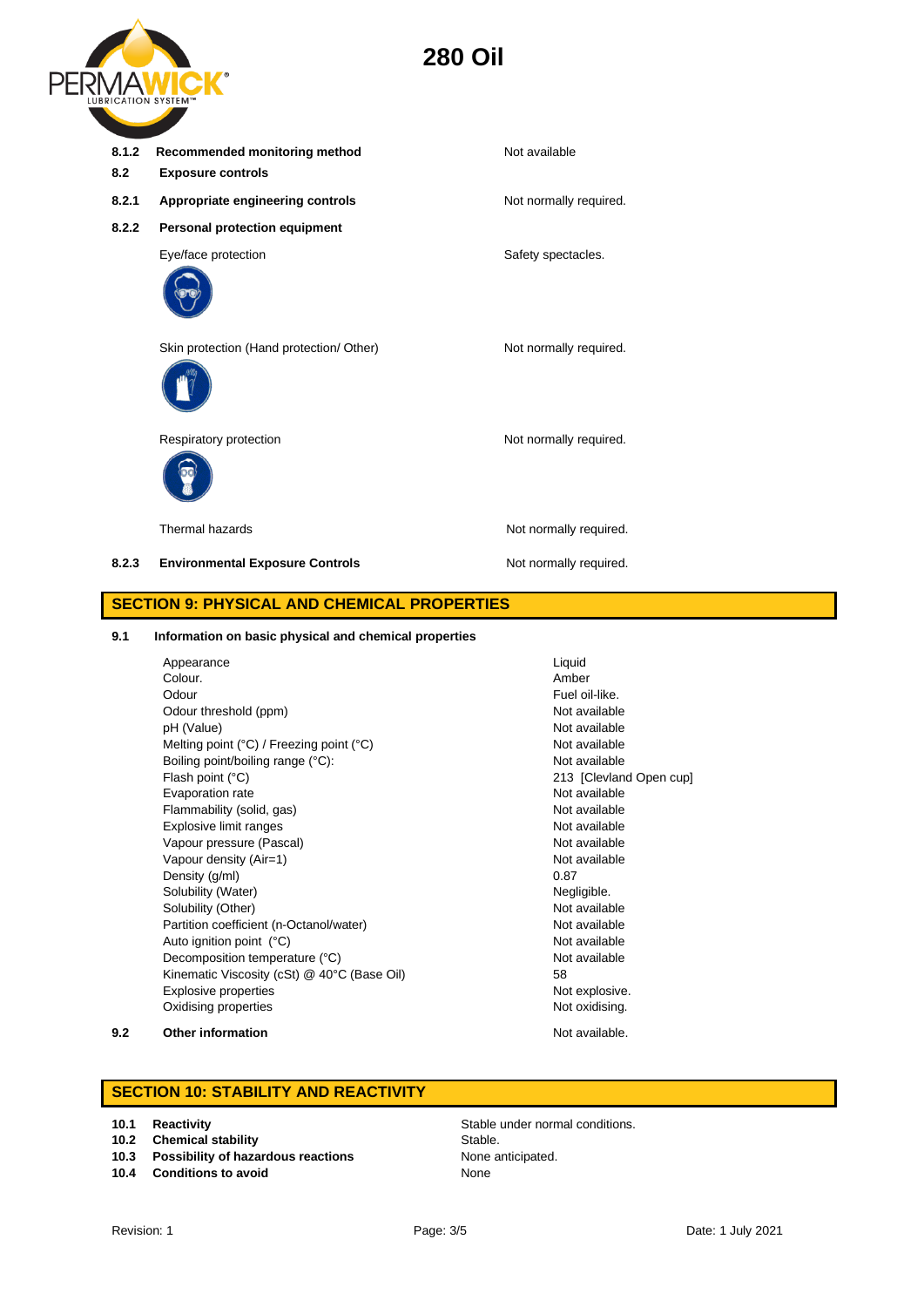# **280 Oil**



| 8.1.2<br>8.2                                       | Recommended monitoring method<br><b>Exposure controls</b> | Not available          |  |  |
|----------------------------------------------------|-----------------------------------------------------------|------------------------|--|--|
| 8.2.1                                              | Appropriate engineering controls                          | Not normally required. |  |  |
| 8.2.2                                              | <b>Personal protection equipment</b>                      |                        |  |  |
|                                                    | Eye/face protection                                       | Safety spectacles.     |  |  |
|                                                    | Skin protection (Hand protection/ Other)                  | Not normally required. |  |  |
|                                                    | Respiratory protection                                    | Not normally required. |  |  |
|                                                    | Thermal hazards                                           | Not normally required. |  |  |
| 8.2.3                                              | <b>Environmental Exposure Controls</b>                    | Not normally required. |  |  |
| <b>SECTION 9: PHYSICAL AND CHEMICAL PROPERTIES</b> |                                                           |                        |  |  |

# **9.1 Information on basic physical and chemical properties**

| Appearance                                                 | Liquid                  |
|------------------------------------------------------------|-------------------------|
| Colour.                                                    | Amber                   |
| Odour                                                      | Fuel oil-like.          |
| Odour threshold (ppm)                                      | Not available           |
|                                                            | Not available           |
| pH (Value)                                                 | Not available           |
| Melting point $(^{\circ}C)$ / Freezing point $(^{\circ}C)$ |                         |
| Boiling point/boiling range (°C):                          | Not available           |
| Flash point (°C)                                           | 213 [Clevland Open cup] |
| Evaporation rate                                           | Not available           |
| Flammability (solid, gas)                                  | Not available           |
| Explosive limit ranges                                     | Not available           |
| Vapour pressure (Pascal)                                   | Not available           |
| Vapour density (Air=1)                                     | Not available           |
| Density (g/ml)                                             | 0.87                    |
| Solubility (Water)                                         | Negligible.             |
| Solubility (Other)                                         | Not available           |
| Partition coefficient (n-Octanol/water)                    | Not available           |
| Auto ignition point (°C)                                   | Not available           |
| Decomposition temperature (°C)                             | Not available           |
| Kinematic Viscosity (cSt) @ 40°C (Base Oil)                | 58                      |
| Explosive properties                                       | Not explosive.          |
| Oxidising properties                                       | Not oxidising.          |

#### **9.2 Other information Not available.**

## **SECTION 10: STABILITY AND REACTIVITY**

- **10.2 Chemical stability** Stable.
- **10.3 Possibility of hazardous reactions** None anticipated.
- **10.4 Conditions to avoid** None

**10.1 Reactivity 10.1 Reactivity 10.1 Reactivity Stable under normal conditions.**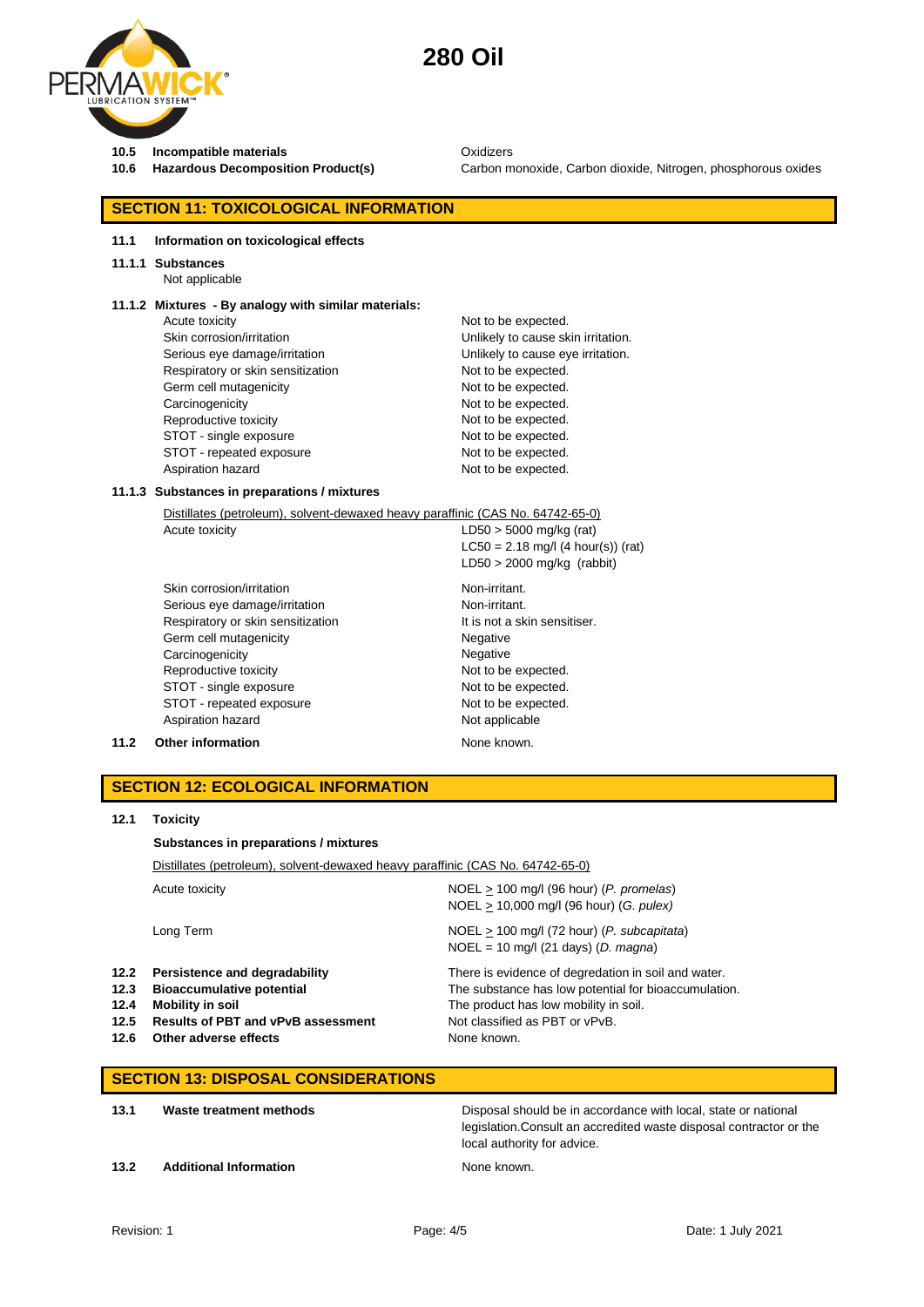

# **280 Oil**

**10.5 Incompatible materials** Oxidizers

**10.6 Hazardous Decomposition Product(s)** Carbon monoxide, Carbon dioxide, Nitrogen, phosphorous oxides

#### **SECTION 11: TOXICOLOGICAL INFORMATION**

#### **11.1 Information on toxicological effects**

#### **11.1.1 Substances**

Not applicable

#### **11.1.2 Mixtures - By analogy with similar materials:**

Acute toxicity **Not to be expected.** Skin corrosion/irritation **Skin corrosion/irritation** Unlikely to cause skin irritation. Serious eye damage/irritation **Exercise 2018** Unlikely to cause eye irritation. Respiratory or skin sensitization Not to be expected. Germ cell mutagenicity expected. Carcinogenicity **Not to be expected.** Reproductive toxicity Not to be expected. STOT - single exposure Not to be expected. STOT - repeated exposure Not to be expected. Aspiration hazard Not to be expected.

#### **11.1.3 Substances in preparations / mixtures**

| Distillates (petroleum), solvent-dewaxed heavy paraffinic (CAS No. 64742-65-0) |                                      |  |  |  |
|--------------------------------------------------------------------------------|--------------------------------------|--|--|--|
| Acute toxicity                                                                 | $LD50 > 5000$ mg/kg (rat)            |  |  |  |
|                                                                                | $LC50 = 2.18$ mg/l (4 hour(s)) (rat) |  |  |  |
|                                                                                | $LD50 > 2000$ mg/kg (rabbit)         |  |  |  |
| Skin corrosion/irritation                                                      | Non-irritant.                        |  |  |  |
| Serious eye damage/irritation                                                  | Non-irritant.                        |  |  |  |
| Respiratory or skin sensitization                                              | It is not a skin sensitiser.         |  |  |  |
| Germ cell mutagenicity                                                         | Negative                             |  |  |  |
| Carcinogenicity                                                                | Negative                             |  |  |  |
| Reproductive toxicity                                                          | Not to be expected.                  |  |  |  |
| STOT - single exposure                                                         | Not to be expected.                  |  |  |  |
| STOT - repeated exposure                                                       | Not to be expected.                  |  |  |  |
| Aspiration hazard                                                              | Not applicable                       |  |  |  |

#### **11.2 Other information** None known.

#### **SECTION 12: ECOLOGICAL INFORMATION**

#### **12.1 Toxicity**

#### **Substances in preparations / mixtures**

Distillates (petroleum), solvent-dewaxed heavy paraffinic (CAS No. 64742-65-0)

|                              | Acute toxicity                                                                                                                                                   | $NOEL > 100$ mg/l (96 hour) (P. promelas)<br>$NOEL > 10,000$ mg/l (96 hour) (G. pulex)                                                                                                                |
|------------------------------|------------------------------------------------------------------------------------------------------------------------------------------------------------------|-------------------------------------------------------------------------------------------------------------------------------------------------------------------------------------------------------|
|                              | Long Term                                                                                                                                                        | $NOEL > 100$ mg/l (72 hour) (P. subcapitata)<br>$NOEL = 10$ mg/l (21 days) (D. magna)                                                                                                                 |
| 12.3<br>12.4<br>12.5<br>12.6 | 12.2 Persistence and degradability<br><b>Bioaccumulative potential</b><br>Mobility in soil<br><b>Results of PBT and vPvB assessment</b><br>Other adverse effects | There is evidence of degredation in soil and water.<br>The substance has low potential for bioaccumulation.<br>The product has low mobility in soil.<br>Not classified as PBT or vPvB.<br>None known. |

#### **SECTION 13: DISPOSAL CONSIDERATIONS**

| 13.1 | Waste treatment methods       | Disposal should be in accordance with local, state or national<br>legislation. Consult an accredited waste disposal contractor or the<br>local authority for advice. |
|------|-------------------------------|----------------------------------------------------------------------------------------------------------------------------------------------------------------------|
| 13.2 | <b>Additional Information</b> | None known.                                                                                                                                                          |